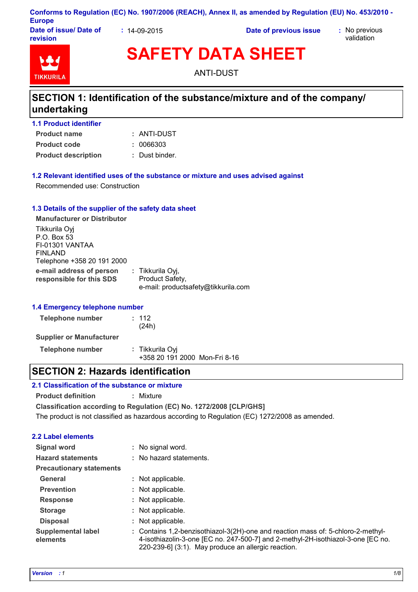#### **Conforms to Regulation (EC) No. 1907/2006 (REACH), Annex II, as amended by Regulation (EU) No. 453/2010 - Europe**

**Date of issue/ Date of revision**

**:** 14-09-2015 **Date of previous issue :** No previous

validation



# **SAFETY DATA SHEET**

ANTI-DUST

# **SECTION 1: Identification of the substance/mixture and of the company/ undertaking**

| 1.1 Product identifier |  |
|------------------------|--|
| <b>Product name</b>    |  |

- **Product description :** Dust binder. **Product code :** 0066303
	-

#### **1.2 Relevant identified uses of the substance or mixture and uses advised against**

Recommended use: Construction

#### **1.3 Details of the supplier of the safety data sheet**

**e-mail address of person responsible for this SDS :** Tikkurila Oyj, Product Safety, e-mail: productsafety@tikkurila.com **Manufacturer or Distributor** Tikkurila Oyj P.O. Box 53 FI-01301 VANTAA FINLAND Telephone +358 20 191 2000

#### **1.4 Emergency telephone number**

| Telephone number                | : 112<br>(24h)                                   |
|---------------------------------|--------------------------------------------------|
| <b>Supplier or Manufacturer</b> |                                                  |
| Telephone number                | : Tikkurila Oyi<br>+358 20 191 2000 Mon-Fri 8-16 |

# **SECTION 2: Hazards identification**

#### **2.1 Classification of the substance or mixture**

**Product definition :** Mixture

**Classification according to Regulation (EC) No. 1272/2008 [CLP/GHS]**

The product is not classified as hazardous according to Regulation (EC) 1272/2008 as amended.

### **2.2 Label elements**

| <b>Signal word</b>                    | : No signal word.                                                                                                                                                                                                           |
|---------------------------------------|-----------------------------------------------------------------------------------------------------------------------------------------------------------------------------------------------------------------------------|
| <b>Hazard statements</b>              | : No hazard statements.                                                                                                                                                                                                     |
| <b>Precautionary statements</b>       |                                                                                                                                                                                                                             |
| General                               | : Not applicable.                                                                                                                                                                                                           |
| <b>Prevention</b>                     | : Not applicable.                                                                                                                                                                                                           |
| <b>Response</b>                       | : Not applicable.                                                                                                                                                                                                           |
| <b>Storage</b>                        | : Not applicable.                                                                                                                                                                                                           |
| <b>Disposal</b>                       | : Not applicable.                                                                                                                                                                                                           |
| <b>Supplemental label</b><br>elements | : Contains 1,2-benzisothiazol-3(2H)-one and reaction mass of: 5-chloro-2-methyl-<br>4-isothiazolin-3-one [EC no. 247-500-7] and 2-methyl-2H-isothiazol-3-one [EC no.<br>220-239-6] (3:1). May produce an allergic reaction. |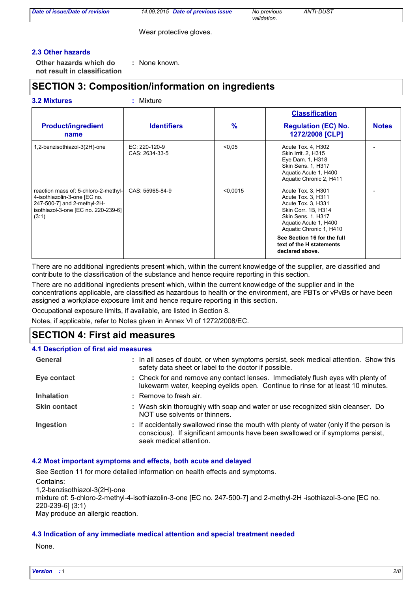|  |  | Date of issue/Date of revision |
|--|--|--------------------------------|
|  |  |                                |

*Date of previous issue No previous ANTI-DUST Date of issue/Date of revision 14.09.2015 validation.*

Wear protective gloves.

#### **2.3 Other hazards**

**Other hazards which do : not result in classification** : None known.

### **SECTION 3: Composition/information on ingredients**

| <b>3.2 Mixtures</b> |  |
|---------------------|--|
|                     |  |

**3.2 Mixtures :** Mixture

|                                                                                                                                                     |                                 |          | <b>Classification</b>                                                                                                                                                                                                                         |              |
|-----------------------------------------------------------------------------------------------------------------------------------------------------|---------------------------------|----------|-----------------------------------------------------------------------------------------------------------------------------------------------------------------------------------------------------------------------------------------------|--------------|
| <b>Product/ingredient</b><br>name                                                                                                                   | <b>Identifiers</b>              | $\%$     | <b>Regulation (EC) No.</b><br>1272/2008 [CLP]                                                                                                                                                                                                 | <b>Notes</b> |
| 1,2-benzisothiazol-3(2H)-one                                                                                                                        | EC: 220-120-9<br>CAS: 2634-33-5 | < 0.05   | Acute Tox. 4, H302<br>Skin Irrit. 2, H315<br>Eye Dam. 1, H318<br>Skin Sens. 1, H317<br>Aquatic Acute 1, H400<br>Aquatic Chronic 2, H411                                                                                                       |              |
| reaction mass of: 5-chloro-2-methyl-<br>4-isothiazolin-3-one [EC no.<br>247-500-7] and 2-methyl-2H-<br>isothiazol-3-one [EC no. 220-239-6]<br>(3:1) | CAS: 55965-84-9                 | < 0.0015 | Acute Tox. 3, H301<br>Acute Tox. 3, H311<br>Acute Tox. 3, H331<br>Skin Corr. 1B, H314<br>Skin Sens. 1, H317<br>Aquatic Acute 1, H400<br>Aquatic Chronic 1, H410<br>See Section 16 for the full<br>text of the H statements<br>declared above. |              |

There are no additional ingredients present which, within the current knowledge of the supplier, are classified and contribute to the classification of the substance and hence require reporting in this section.

There are no additional ingredients present which, within the current knowledge of the supplier and in the concentrations applicable, are classified as hazardous to health or the environment, are PBTs or vPvBs or have been assigned a workplace exposure limit and hence require reporting in this section.

Occupational exposure limits, if available, are listed in Section 8.

Notes, if applicable, refer to Notes given in Annex VI of 1272/2008/EC.

### **SECTION 4: First aid measures**

| <b>4.1 Description of first aid measures</b> |                                                                                                                                                                                                      |
|----------------------------------------------|------------------------------------------------------------------------------------------------------------------------------------------------------------------------------------------------------|
| General                                      | : In all cases of doubt, or when symptoms persist, seek medical attention. Show this<br>safety data sheet or label to the doctor if possible.                                                        |
| Eye contact                                  | : Check for and remove any contact lenses. Immediately flush eyes with plenty of<br>lukewarm water, keeping eyelids open. Continue to rinse for at least 10 minutes.                                 |
| <b>Inhalation</b>                            | : Remove to fresh air.                                                                                                                                                                               |
| <b>Skin contact</b>                          | : Wash skin thoroughly with soap and water or use recognized skin cleanser. Do<br>NOT use solvents or thinners.                                                                                      |
| Ingestion                                    | : If accidentally swallowed rinse the mouth with plenty of water (only if the person is<br>conscious). If significant amounts have been swallowed or if symptoms persist,<br>seek medical attention. |

#### **4.2 Most important symptoms and effects, both acute and delayed**

See Section 11 for more detailed information on health effects and symptoms. Contains:

1,2-benzisothiazol-3(2H)-one mixture of: 5-chloro-2-methyl-4-isothiazolin-3-one [EC no. 247-500-7] and 2-methyl-2H -isothiazol-3-one [EC no. 220-239-6] (3:1) May produce an allergic reaction.

#### **4.3 Indication of any immediate medical attention and special treatment needed**

None.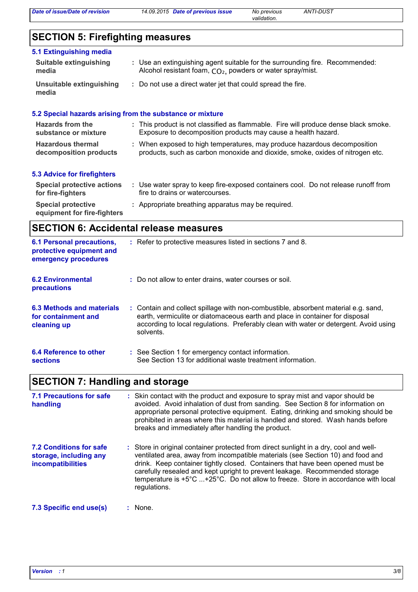*validation.*

# **SECTION 5: Firefighting measures**

| 5.1 Extinguishing media           |                                                                                     |
|-----------------------------------|-------------------------------------------------------------------------------------|
| Suitable extinguishing            | : Use an extinguishing agent suitable for the surrounding fire. Recommended:        |
| media                             | Alcohol resistant foam, CO <sub>2</sub> , powders or water spray/mist.              |
| Unsuitable extinguishing<br>media | : Do not use a direct water jet that could spread the fire.                         |
|                                   | 5.2 Special hazards arising from the substance or mixture                           |
| Hazards from the                  | : This product is not classified as flammable. Fire will produce dense black smoke. |
| substance or mixture              | Exposure to decomposition products may cause a health hazard.                       |
| <b>Hazardous thermal</b>          | When exposed to high temperatures, may produce hazardous decomposition              |
| decomposition products            | products, such as carbon monoxide and dioxide, smoke, oxides of nitrogen etc.       |

#### **5.3 Advice for firefighters**

| <b>Special protective actions</b>                        | Use water spray to keep fire-exposed containers cool. Do not release runoff from |
|----------------------------------------------------------|----------------------------------------------------------------------------------|
| for fire-fighters                                        | fire to drains or watercourses.                                                  |
| <b>Special protective</b><br>equipment for fire-fighters | : Appropriate breathing apparatus may be required.                               |

### **SECTION 6: Accidental release measures**

| <b>6.1 Personal precautions,</b><br>protective equipment and<br>emergency procedures | : Refer to protective measures listed in sections 7 and 8.                                                                                                                                                                                                               |
|--------------------------------------------------------------------------------------|--------------------------------------------------------------------------------------------------------------------------------------------------------------------------------------------------------------------------------------------------------------------------|
| <b>6.2 Environmental</b><br>precautions                                              | : Do not allow to enter drains, water courses or soil.                                                                                                                                                                                                                   |
| 6.3 Methods and materials<br>for containment and<br>cleaning up                      | : Contain and collect spillage with non-combustible, absorbent material e.g. sand,<br>earth, vermiculite or diatomaceous earth and place in container for disposal<br>according to local regulations. Preferably clean with water or detergent. Avoid using<br>solvents. |
| 6.4 Reference to other<br><b>sections</b>                                            | : See Section 1 for emergency contact information.<br>See Section 13 for additional waste treatment information.                                                                                                                                                         |

# **SECTION 7: Handling and storage**

| 7.1 Precautions for safe<br>handling                                          | : Skin contact with the product and exposure to spray mist and vapor should be<br>avoided. Avoid inhalation of dust from sanding. See Section 8 for information on<br>appropriate personal protective equipment. Eating, drinking and smoking should be<br>prohibited in areas where this material is handled and stored. Wash hands before<br>breaks and immediately after handling the product.                                                        |
|-------------------------------------------------------------------------------|----------------------------------------------------------------------------------------------------------------------------------------------------------------------------------------------------------------------------------------------------------------------------------------------------------------------------------------------------------------------------------------------------------------------------------------------------------|
| <b>7.2 Conditions for safe</b><br>storage, including any<br>incompatibilities | : Store in original container protected from direct sunlight in a dry, cool and well-<br>ventilated area, away from incompatible materials (see Section 10) and food and<br>drink. Keep container tightly closed. Containers that have been opened must be<br>carefully resealed and kept upright to prevent leakage. Recommended storage<br>temperature is $+5^{\circ}$ C +25°C. Do not allow to freeze. Store in accordance with local<br>regulations. |
| 7.3 Specific end use(s)                                                       | $:$ None.                                                                                                                                                                                                                                                                                                                                                                                                                                                |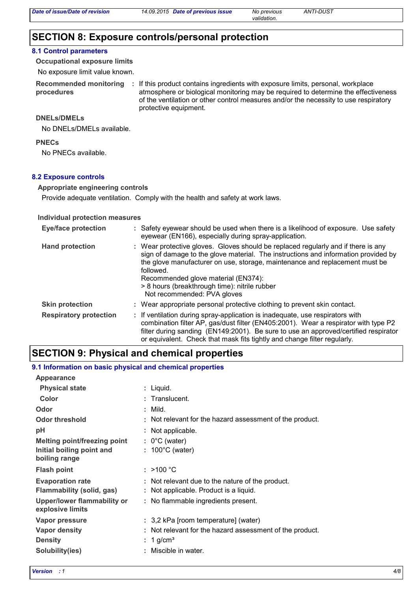### **SECTION 8: Exposure controls/personal protection**

#### **8.1 Control parameters**

**Occupational exposure limits**

No exposure limit value known.

**procedures**

Recommended monitoring : If this product contains ingredients with exposure limits, personal, workplace atmosphere or biological monitoring may be required to determine the effectiveness of the ventilation or other control measures and/or the necessity to use respiratory protective equipment.

*validation.*

#### **DNELs/DMELs**

No DNELs/DMELs available.

#### **PNECs**

No PNECs available.

#### **8.2 Exposure controls**

#### **Appropriate engineering controls**

Provide adequate ventilation. Comply with the health and safety at work laws.

#### **Individual protection measures**

| <b>Eye/face protection</b>    | : Safety eyewear should be used when there is a likelihood of exposure. Use safety<br>eyewear (EN166), especially during spray-application.                                                                                                                                                                                                                                                |
|-------------------------------|--------------------------------------------------------------------------------------------------------------------------------------------------------------------------------------------------------------------------------------------------------------------------------------------------------------------------------------------------------------------------------------------|
| <b>Hand protection</b>        | : Wear protective gloves. Gloves should be replaced regularly and if there is any<br>sign of damage to the glove material. The instructions and information provided by<br>the glove manufacturer on use, storage, maintenance and replacement must be<br>followed.<br>Recommended glove material (EN374):<br>> 8 hours (breakthrough time): nitrile rubber<br>Not recommended: PVA gloves |
| <b>Skin protection</b>        | : Wear appropriate personal protective clothing to prevent skin contact.                                                                                                                                                                                                                                                                                                                   |
| <b>Respiratory protection</b> | : If ventilation during spray-application is inadequate, use respirators with<br>combination filter AP, gas/dust filter (EN405:2001). Wear a respirator with type P2<br>filter during sanding (EN149:2001). Be sure to use an approved/certified respirator<br>or equivalent. Check that mask fits tightly and change filter regularly.                                                    |

### **SECTION 9: Physical and chemical properties**

#### **9.1 Information on basic physical and chemical properties**

| <b>Appearance</b>                                      |                                                          |
|--------------------------------------------------------|----------------------------------------------------------|
| <b>Physical state</b>                                  | : Liquid.                                                |
| Color                                                  | : Translucent.                                           |
| Odor                                                   | $:$ Mild.                                                |
| <b>Odor threshold</b>                                  | : Not relevant for the hazard assessment of the product. |
| рH                                                     | : Not applicable.                                        |
| <b>Melting point/freezing point</b>                    | $: 0^{\circ}$ C (water)                                  |
| Initial boiling point and                              | : $100^{\circ}$ C (water)                                |
| boiling range                                          |                                                          |
| <b>Flash point</b>                                     | : $>100 °C$                                              |
| <b>Evaporation rate</b>                                | : Not relevant due to the nature of the product.         |
| Flammability (solid, gas)                              | : Not applicable. Product is a liquid.                   |
| <b>Upper/lower flammability or</b><br>explosive limits | : No flammable ingredients present.                      |
| Vapor pressure                                         | : 3,2 kPa [room temperature] (water)                     |
| Vapor density                                          | : Not relevant for the hazard assessment of the product. |
| <b>Density</b>                                         | 1 g/cm <sup>3</sup>                                      |
| Solubility(ies)                                        | : Miscible in water.                                     |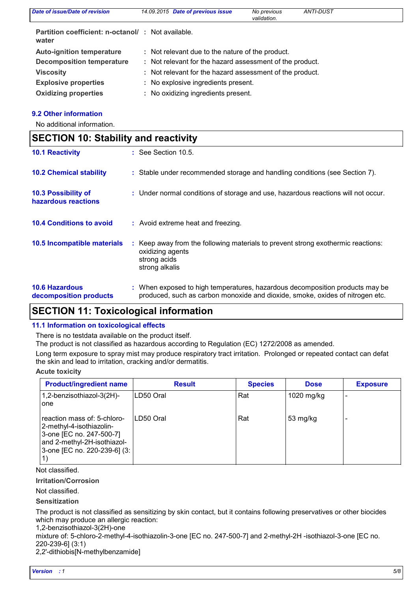| <b>Date of issue/Date of revision</b>                      | 14.09.2015 Date of previous issue                        | No previous<br>validation. | ANTI-DUST |  |
|------------------------------------------------------------|----------------------------------------------------------|----------------------------|-----------|--|
| Partition coefficient: n-octanol/: Not available.<br>water |                                                          |                            |           |  |
| <b>Auto-ignition temperature</b>                           | : Not relevant due to the nature of the product.         |                            |           |  |
| <b>Decomposition temperature</b>                           | : Not relevant for the hazard assessment of the product. |                            |           |  |
| <b>Viscosity</b>                                           | : Not relevant for the hazard assessment of the product. |                            |           |  |
| <b>Explosive properties</b>                                | : No explosive ingredients present.                      |                            |           |  |
| <b>Oxidizing properties</b>                                | : No oxidizing ingredients present.                      |                            |           |  |

#### **9.2 Other information**

No additional information.

| <b>SECTION 10: Stability and reactivity</b>       |                                                                                                                                                               |  |  |
|---------------------------------------------------|---------------------------------------------------------------------------------------------------------------------------------------------------------------|--|--|
| <b>10.1 Reactivity</b>                            | $:$ See Section 10.5.                                                                                                                                         |  |  |
| <b>10.2 Chemical stability</b>                    | : Stable under recommended storage and handling conditions (see Section 7).                                                                                   |  |  |
| <b>10.3 Possibility of</b><br>hazardous reactions | : Under normal conditions of storage and use, hazardous reactions will not occur.                                                                             |  |  |
| <b>10.4 Conditions to avoid</b>                   | : Avoid extreme heat and freezing.                                                                                                                            |  |  |
| 10.5 Incompatible materials                       | : Keep away from the following materials to prevent strong exothermic reactions:<br>oxidizing agents<br>strong acids<br>strong alkalis                        |  |  |
| <b>10.6 Hazardous</b><br>decomposition products   | : When exposed to high temperatures, hazardous decomposition products may be<br>produced, such as carbon monoxide and dioxide, smoke, oxides of nitrogen etc. |  |  |

# **SECTION 11: Toxicological information**

#### **11.1 Information on toxicological effects**

There is no testdata available on the product itself.

The product is not classified as hazardous according to Regulation (EC) 1272/2008 as amended.

Long term exposure to spray mist may produce respiratory tract irritation. Prolonged or repeated contact can defat the skin and lead to irritation, cracking and/or dermatitis.

#### **Acute toxicity**

| <b>Product/ingredient name</b>                                                                                                                     | <b>Result</b> | <b>Species</b> | <b>Dose</b> | <b>Exposure</b> |
|----------------------------------------------------------------------------------------------------------------------------------------------------|---------------|----------------|-------------|-----------------|
| 1,2-benzisothiazol-3(2H)-<br>one                                                                                                                   | LD50 Oral     | Rat            | 1020 mg/kg  |                 |
| reaction mass of: 5-chloro-<br>2-methyl-4-isothiazolin-<br>3-one [EC no. 247-500-7]<br>and 2-methyl-2H-isothiazol-<br>3-one [EC no. 220-239-6] (3: | LD50 Oral     | Rat            | 53 mg/kg    |                 |

Not classified.

**Irritation/Corrosion**

Not classified.

#### **Sensitization**

The product is not classified as sensitizing by skin contact, but it contains following preservatives or other biocides which may produce an allergic reaction:

1,2-benzisothiazol-3(2H)-one

mixture of: 5-chloro-2-methyl-4-isothiazolin-3-one [EC no. 247-500-7] and 2-methyl-2H -isothiazol-3-one [EC no. 220-239-6] (3:1)

2,2'-dithiobis[N-methylbenzamide]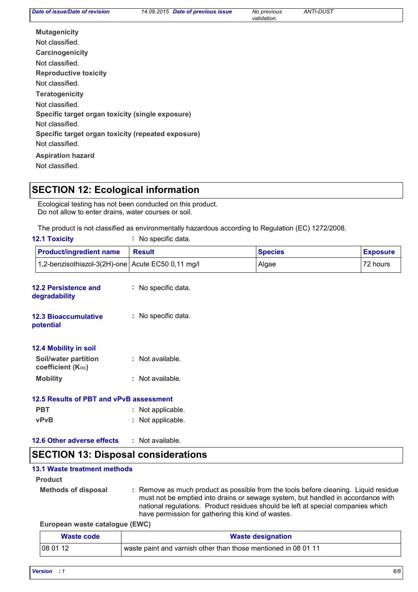| Date of issue/Date of revision                     | 14.09.2015 Date of previous issue | No previous<br>validation. | <b>ANTI-DUST</b> |  |
|----------------------------------------------------|-----------------------------------|----------------------------|------------------|--|
| <b>Mutagenicity</b>                                |                                   |                            |                  |  |
| Not classified.                                    |                                   |                            |                  |  |
| Carcinogenicity                                    |                                   |                            |                  |  |
| Not classified.                                    |                                   |                            |                  |  |
| <b>Reproductive toxicity</b>                       |                                   |                            |                  |  |
| Not classified.                                    |                                   |                            |                  |  |
| <b>Teratogenicity</b>                              |                                   |                            |                  |  |
| Not classified.                                    |                                   |                            |                  |  |
| Specific target organ toxicity (single exposure)   |                                   |                            |                  |  |
| Not classified.                                    |                                   |                            |                  |  |
| Specific target organ toxicity (repeated exposure) |                                   |                            |                  |  |
| Not classified.                                    |                                   |                            |                  |  |
| <b>Aspiration hazard</b>                           |                                   |                            |                  |  |
| Not classified.                                    |                                   |                            |                  |  |

# **SECTION 12: Ecological information**

Ecological testing has not been conducted on this product. Do not allow to enter drains, water courses or soil.

The product is not classified as environmentally hazardous according to Regulation (EC) 1272/2008.

| <b>12.1 Toxicity</b>                         | : No specific data.  |                |                 |
|----------------------------------------------|----------------------|----------------|-----------------|
| <b>Product/ingredient name</b>               | <b>Result</b>        | <b>Species</b> | <b>Exposure</b> |
| 1,2-benzisothiazol-3(2H)-one                 | Acute EC50 0,11 mg/l | Algae          | 72 hours        |
| <b>12.2 Persistence and</b><br>degradability | : No specific data.  |                |                 |
| <b>12.3 Bioaccumulative</b><br>potential     | : No specific data.  |                |                 |
| 12.4 Mobility in soil                        |                      |                |                 |
| Soil/water partition<br>coefficient (Koc)    | : Not available.     |                |                 |
| <b>Mobility</b>                              | : Not available.     |                |                 |
| 12.5 Results of PBT and vPvB assessment      |                      |                |                 |
| <b>PBT</b>                                   | : Not applicable.    |                |                 |
| <b>vPvB</b>                                  | : Not applicable.    |                |                 |
| 12.6 Other adverse effects                   | : Not available.     |                |                 |
| <b>SECTION 13: Disposal considerations</b>   |                      |                |                 |

#### **13.1 Waste treatment methods**

**Product**

- **Methods of disposal :**
	- Remove as much product as possible from the tools before cleaning. Liquid residue must not be emptied into drains or sewage system, but handled in accordance with national regulations. Product residues should be left at special companies which have permission for gathering this kind of wastes.

**European waste catalogue (EWC)**

| Waste code | <b>Waste designation</b>                                       |
|------------|----------------------------------------------------------------|
| 080112     | waste paint and varnish other than those mentioned in 08 01 11 |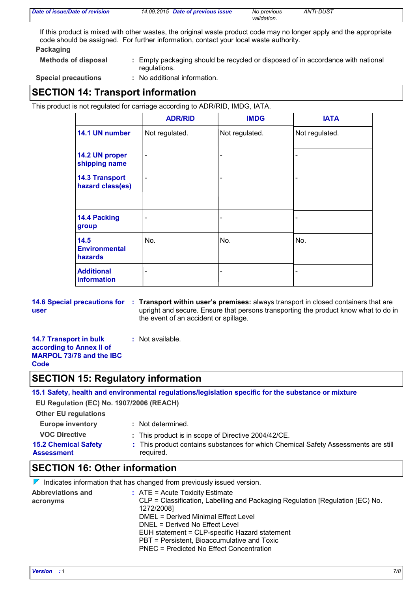| Date of issue/Date of revision | 14.09.2015 Date of previous issue | No previous | ANTI-DUST |  |
|--------------------------------|-----------------------------------|-------------|-----------|--|
|                                |                                   | validation. |           |  |

If this product is mixed with other wastes, the original waste product code may no longer apply and the appropriate code should be assigned. For further information, contact your local waste authority.

#### **Packaging**

**Methods of disposal :**

Empty packaging should be recycled or disposed of in accordance with national regulations.

**Special precautions :**

No additional information.

# **SECTION 14: Transport information**

This product is not regulated for carriage according to ADR/RID, IMDG, IATA.

|                                           | <b>ADR/RID</b>               | <b>IMDG</b>    | <b>IATA</b>    |
|-------------------------------------------|------------------------------|----------------|----------------|
| 14.1 UN number                            | Not regulated.               | Not regulated. | Not regulated. |
| 14.2 UN proper<br>shipping name           | $\qquad \qquad \blacksquare$ | -              |                |
| <b>14.3 Transport</b><br>hazard class(es) | $\qquad \qquad \blacksquare$ | -              |                |
| 14.4 Packing<br>group                     |                              |                |                |
| 14.5<br><b>Environmental</b><br>hazards   | No.                          | No.            | No.            |
| <b>Additional</b><br>information          |                              | ۰              |                |

**user**

**14.6 Special precautions for : Transport within user's premises: always transport in closed containers that are** upright and secure. Ensure that persons transporting the product know what to do in the event of an accident or spillage.

| <b>14.7 Transport in bulk</b>   | : Not available. |
|---------------------------------|------------------|
| according to Annex II of        |                  |
| <b>MARPOL 73/78 and the IBC</b> |                  |
| Code                            |                  |

### **SECTION 15: Regulatory information**

**15.1 Safety, health and environmental regulations/legislation specific for the substance or mixture**

**EU Regulation (EC) No. 1907/2006 (REACH)**

#### **Other EU regulations**

**Europe inventory :** Not determined.

- **VOC Directive :** This product is in scope of Directive 2004/42/CE.
- **15.2 Chemical Safety Assessment** This product contains substances for which Chemical Safety Assessments are still **:** required.

# **SECTION 16: Other information**

|                                      | $\mathbb V$ Indicates information that has changed from previously issued version.                                                                                                                                                                                                                                                                                    |
|--------------------------------------|-----------------------------------------------------------------------------------------------------------------------------------------------------------------------------------------------------------------------------------------------------------------------------------------------------------------------------------------------------------------------|
| <b>Abbreviations and</b><br>acronyms | $\therefore$ ATE = Acute Toxicity Estimate<br>CLP = Classification, Labelling and Packaging Regulation [Regulation (EC) No.<br>1272/2008]<br><b>DMEL = Derived Minimal Effect Level</b><br>DNEL = Derived No Effect Level<br>EUH statement = CLP-specific Hazard statement<br>PBT = Persistent, Bioaccumulative and Toxic<br>PNEC = Predicted No Effect Concentration |
|                                      |                                                                                                                                                                                                                                                                                                                                                                       |